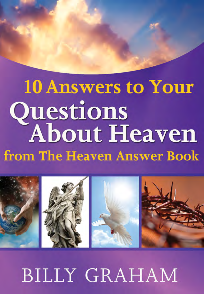# **10 Answers to Your** Questions<br>About Heaven from The Heaven Answer Book



**BILLY GRAHAM**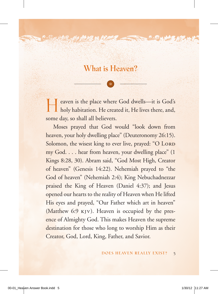#### **What is Heaven?**

そんじん

Heaven is the place where God dwells—it is God's holy habitation. He created it, He lives there, and, some day, so shall all believers.

Moses prayed that God would "look down from heaven, your holy dwelling place" (Deuteronomy 26:15). Solomon, the wisest king to ever live, prayed: "O LORD" my God. . . . hear from heaven, your dwelling place" (1 Kings 8:28, 30). Abram said, "God Most High, Creator of heaven" (Genesis 14:22). Nehemiah prayed to "the God of heaven" (Nehemiah 2:4); King Nebuchadnezzar praised the King of Heaven (Daniel 4:37); and Jesus opened our hearts to the reality of Heaven when He lifted His eyes and prayed, "Our Father which art in heaven" (Matthew 6:9 kjv). Heaven is occupied by the presence of Almighty God. This makes Heaven the supreme destination for those who long to worship Him as their Creator, God, Lord, King, Father, and Savior.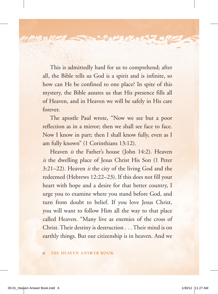This is admittedly hard for us to comprehend; after all, the Bible tells us God is a spirit and is infinite, so how can He be confined to one place? In spite of this mystery, the Bible assures us that His presence fills all of Heaven, and in Heaven we will be safely in His care forever.

 $\mathcal{P}_{\mathcal{A}}\mathcal{O}_{\mathbf{M}}$ 

The apostle Paul wrote, "Now we see but a poor reflection as in a mirror; then we shall see face to face. Now I know in part; then I shall know fully, even as I am fully known" (1 Corinthians 13:12).

Heaven *is* the Father's house (John 14:2). Heaven *is* the dwelling place of Jesus Christ His Son (1 Peter 3:21–22). Heaven *is* the city of the living God and the redeemed (Hebrews 12:22–23). If this does not fill your heart with hope and a desire for that better country, I urge you to examine where you stand before God, and turn from doubt to belief. If you love Jesus Christ, you will want to follow Him all the way to that place called Heaven. "Many live as enemies of the cross of Christ. Their destiny is destruction . . . Their mind is on earthly things. But our citizenship is in heaven. And we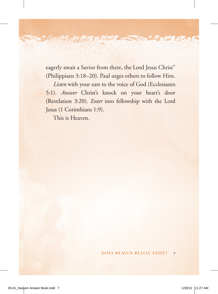eagerly await a Savior from there, the Lord Jesus Christ" (Philippians 3:18–20). Paul urges others to follow Him.

ค∧©<u>ผ</u>

*Listen* with your ears to the voice of God (Ecclesiastes 5:1). *Answer* Christ's knock on your heart's door (Revelation 3:20). *Enter* into fellowship with the Lord Jesus (1 Corinthians 1:9).

This is Heaven.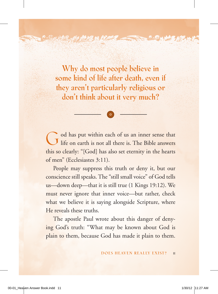**Why do most people believe in some kind of life after death, even if they aren't particularly religious or don't think about it very much?**

 $P \wedge Q_{\lvert M \rvert}$ 

God has put within each of us an inner sense that life on earth is not all there is. The Bible answers this so clearly: "[God] has also set eternity in the hearts of men" (Ecclesiastes 3:11).

People may suppress this truth or deny it, but our conscience still speaks. The "still small voice" of God tells us—down deep—that it is still true (1 Kings 19:12). We must never ignore that inner voice—but rather, check what we believe it is saying alongside Scripture, where He reveals these truths.

The apostle Paul wrote about this danger of denying God's truth: "What may be known about God is plain to them, because God has made it plain to them.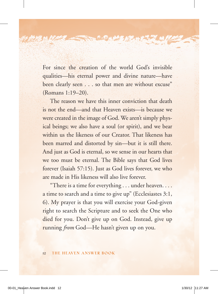For since the creation of the world God's invisible qualities—his eternal power and divine nature—have been clearly seen . . . so that men are without excuse" (Romans 1:19–20).

**PACKALLE** 

The reason we have this inner conviction that death is not the end—and that Heaven exists—is because we were created in the image of God. We aren't simply physical beings; we also have a soul (or spirit), and we bear within us the likeness of our Creator. That likeness has been marred and distorted by sin—but it is still there. And just as God is eternal, so we sense in our hearts that we too must be eternal. The Bible says that God lives forever (Isaiah 57:15). Just as God lives forever, we who are made in His likeness will also live forever.

"There is a time for everything . . . under heaven. . . . a time to search and a time to give up" (Ecclesiastes 3:1, 6). My prayer is that you will exercise your God-given right to search the Scripture and to seek the One who died for you. Don't give up on God. Instead, give up running *from* God—He hasn't given up on you.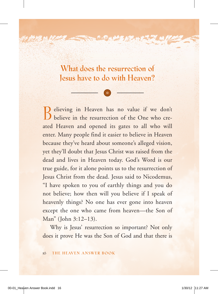**What does the resurrection of Jesus have to do with Heaven?**

 $\partial_{\Lambda}\mathcal{O}_M$ 

Believing in Heaven has no value if we don't believe in the resurrection of the One who created Heaven and opened its gates to all who will enter. Many people find it easier to believe in Heaven because they've heard about someone's alleged vision, yet they'll doubt that Jesus Christ was raised from the dead and lives in Heaven today. God's Word is our true guide, for it alone points us to the resurrection of Jesus Christ from the dead. Jesus said to Nicodemus, "I have spoken to you of earthly things and you do not believe; how then will you believe if I speak of heavenly things? No one has ever gone into heaven except the one who came from heaven—the Son of Man" (John 3:12–13).

Why is Jesus' resurrection so important? Not only does it prove He was the Son of God and that there is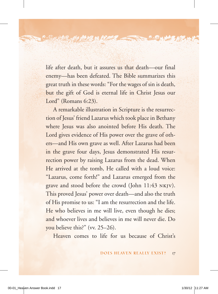life after death, but it assures us that death—our final enemy—has been defeated. The Bible summarizes this great truth in these words: "For the wages of sin is death, but the gift of God is eternal life in Christ Jesus our Lord" (Romans 6:23).

**PACKAPE ARE** 

A remarkable illustration in Scripture is the resurrection of Jesus' friend Lazarus which took place in Bethany where Jesus was also anointed before His death. The Lord gives evidence of His power over the grave of others—and His own grave as well. After Lazarus had been in the grave four days, Jesus demonstrated His resurrection power by raising Lazarus from the dead. When He arrived at the tomb, He called with a loud voice: "Lazarus, come forth!" and Lazarus emerged from the grave and stood before the crowd (John 11:43 nkjv). This proved Jesus' power over death—and also the truth of His promise to us: "I am the resurrection and the life. He who believes in me will live, even though he dies; and whoever lives and believes in me will never die. Do you believe this?" (vv. 25–26).

Heaven comes to life for us because of Christ's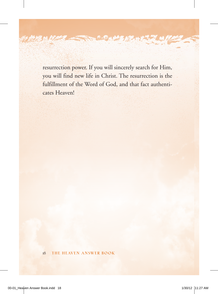resurrection power. If you will sincerely search for Him, you will find new life in Christ. The resurrection is the fulfillment of the Word of God, and that fact authenticates Heaven!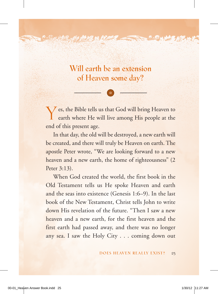**Will earth be an extension of Heaven some day?**

**PAOM** 

Yes, the Bible tells us that God will bring Heaven to earth where He will live among His people at the end of this present age.

In that day, the old will be destroyed, a new earth will be created, and there will truly be Heaven on earth. The apostle Peter wrote, "We are looking forward to a new heaven and a new earth, the home of righteousness" (2 Peter 3:13).

When God created the world, the first book in the Old Testament tells us He spoke Heaven and earth and the seas into existence (Genesis 1:6–9). In the last book of the New Testament, Christ tells John to write down His revelation of the future. "Then I saw a new heaven and a new earth, for the first heaven and the first earth had passed away, and there was no longer any sea. I saw the Holy City . . . coming down out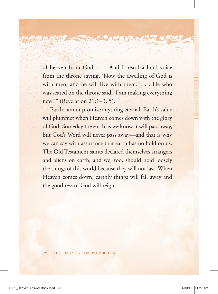of heaven from God. . . . And I heard a loud voice from the throne saying, 'Now the dwelling of God is with men, and he will live with them.' . . . He who was seated on the throne said, 'I am making everything new!'" (Revelation 21:1–3, 5).

Earth cannot promise anything eternal. Earth's value will plummet when Heaven comes down with the glory of God. Someday the earth as we know it will pass away, but God's Word will never pass away—and that is why we can say with assurance that earth has no hold on us. The Old Testament saints declared themselves strangers and aliens on earth, and we, too, should hold loosely the things of this world because they will not last. When Heaven comes down, earthly things will fall away and the goodness of God will reign.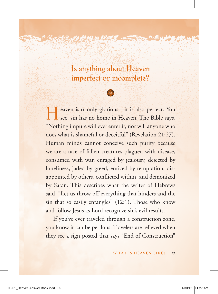**Is anything about Heaven imperfect or incomplete?**

**PACKARE** 

Heaven isn't only glorious—it is also perfect. You see, sin has no home in Heaven. The Bible says, "Nothing impure will ever enter it, nor will anyone who does what is shameful or deceitful" (Revelation 21:27). Human minds cannot conceive such purity because we are a race of fallen creatures plagued with disease, consumed with war, enraged by jealousy, dejected by loneliness, jaded by greed, enticed by temptation, disappointed by others, conflicted within, and demonized by Satan. This describes what the writer of Hebrews said, "Let us throw off everything that hinders and the sin that so easily entangles" (12:1). Those who know and follow Jesus as Lord recognize sin's evil results.

If you've ever traveled through a construction zone, you know it can be perilous. Travelers are relieved when they see a sign posted that says "End of Construction"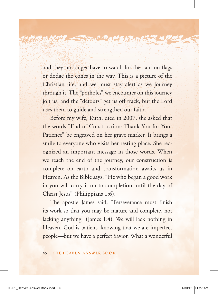and they no longer have to watch for the caution flags or dodge the cones in the way. This is a picture of the Christian life, and we must stay alert as we journey through it. The "potholes" we encounter on this journey jolt us, and the "detours" get us off track, but the Lord uses them to guide and strengthen our faith.

᠈⌒包"

Before my wife, Ruth, died in 2007, she asked that the words "End of Construction: Thank You for Your Patience" be engraved on her grave marker. It brings a smile to everyone who visits her resting place. She recognized an important message in those words. When we reach the end of the journey, our construction is complete on earth and transformation awaits us in Heaven. As the Bible says, "He who began a good work in you will carry it on to completion until the day of Christ Jesus" (Philippians 1:6).

The apostle James said, "Perseverance must finish its work so that you may be mature and complete, not lacking anything" (James 1:4). We will lack nothing in Heaven. God is patient, knowing that we are imperfect people—but we have a perfect Savior. What a wonderful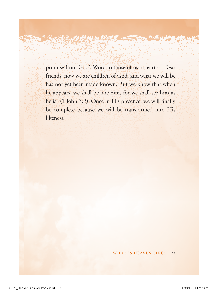promise from God's Word to those of us on earth: "Dear friends, now we are children of God, and what we will be has not yet been made known. But we know that when he appears, we shall be like him, for we shall see him as he is" (1 John 3:2). Once in His presence, we will finally be complete because we will be transformed into His likeness.

் ∧© <u>ம</u>

**All Services**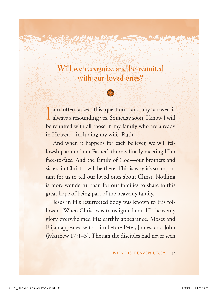#### **Will we recognize and be reunited with our loved ones?**

**PACAME** 

I am often asked this question—and my answer is always a resounding yes. Someday soon, I know I will be reunited with all those in my family who are already in Heaven—including my wife, Ruth.

And when it happens for each believer, we will fellowship around our Father's throne, finally meeting Him face-to-face. And the family of God—our brothers and sisters in Christ—will be there. This is why it's so important for us to tell our loved ones about Christ. Nothing is more wonderful than for our families to share in this great hope of being part of the heavenly family.

Jesus in His resurrected body was known to His followers. When Christ was transfigured and His heavenly glory overwhelmed His earthly appearance, Moses and Elijah appeared with Him before Peter, James, and John (Matthew 17:1–3). Though the disciples had never seen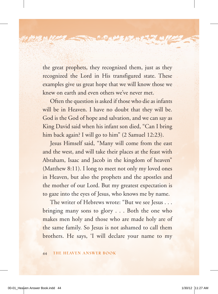the great prophets, they recognized them, just as they recognized the Lord in His transfigured state. These examples give us great hope that we will know those we knew on earth and even others we've never met.

 $\sim$   $\approx$   $\sim$   $\sim$   $\approx$ 

Often the question is asked if those who die as infants will be in Heaven. I have no doubt that they will be. God is the God of hope and salvation, and we can say as King David said when his infant son died, "Can I bring him back again? I will go to him" (2 Samuel 12:23).

Jesus Himself said, "Many will come from the east and the west, and will take their places at the feast with Abraham, Isaac and Jacob in the kingdom of heaven" (Matthew 8:11). I long to meet not only my loved ones in Heaven, but also the prophets and the apostles and the mother of our Lord. But my greatest expectation is to gaze into the eyes of Jesus, who knows me by name.

The writer of Hebrews wrote: "But we see Jesus . . . bringing many sons to glory . . . Both the one who makes men holy and those who are made holy are of the same family. So Jesus is not ashamed to call them brothers. He says, 'I will declare your name to my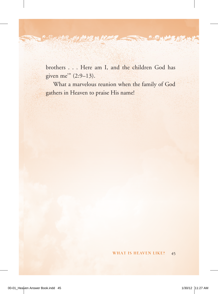brothers . . . Here am I, and the children God has given me'" (2:9–13).

**PAOM** 

**All All Calls** 

What a marvelous reunion when the family of God gathers in Heaven to praise His name!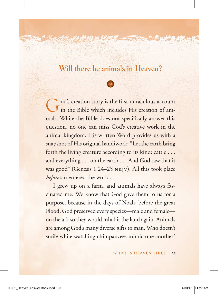#### **Will there be animals in Heaven?**

 $P \wedge Q_{\lvert M \rvert}$ 

God's creation story is the first miraculous account in the Bible which includes His creation of animals. While the Bible does not specifically answer this question, no one can miss God's creative work in the animal kingdom. His written Word provides us with a snapshot of His original handiwork: "Let the earth bring forth the living creature according to its kind: cattle . . . and everything . . . on the earth . . . And God saw that it was good" (Genesis 1:24–25 nkjv). All this took place *before* sin entered the world.

I grew up on a farm, and animals have always fascinated me. We know that God gave them to us for a purpose, because in the days of Noah, before the great Flood, God preserved every species—male and female on the ark so they would inhabit the land again. Animals are among God's many diverse gifts to man. Who doesn't smile while watching chimpanzees mimic one another?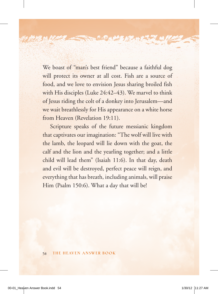We boast of "man's best friend" because a faithful dog will protect its owner at all cost. Fish are a source of food, and we love to envision Jesus sharing broiled fish with His disciples (Luke 24:42–43). We marvel to think of Jesus riding the colt of a donkey into Jerusalem—and we wait breathlessly for His appearance on a white horse from Heaven (Revelation 19:11).

り、日は神名

Scripture speaks of the future messianic kingdom that captivates our imagination: "The wolf will live with the lamb, the leopard will lie down with the goat, the calf and the lion and the yearling together; and a little child will lead them" (Isaiah 11:6). In that day, death and evil will be destroyed, perfect peace will reign, and everything that has breath, including animals, will praise Him (Psalm 150:6). What a day that will be!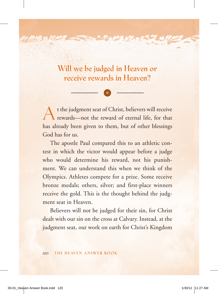**Will we be judged in Heaven or receive rewards in Heaven?**

A t the judgment seat of Christ, believers will receive rewards—not the reward of eternal life, for that has already been given to them, but of other blessings God has for us.

The apostle Paul compared this to an athletic contest in which the victor would appear before a judge who would determine his reward, not his punishment. We can understand this when we think of the Olympics. Athletes compete for a prize. Some receive bronze medals; others, silver; and first-place winners receive the gold. This is the thought behind the judgment seat in Heaven.

Believers will not be judged for their sin, for Christ dealt with our sin on the cross at Calvary. Instead, at the judgment seat, our work on earth for Christ's Kingdom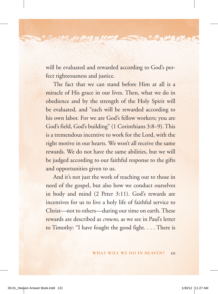will be evaluated and rewarded according to God's perfect righteousness and justice.

**PACKAPEARE** 

The fact that we can stand before Him at all is a miracle of His grace in our lives. Then, what we do in obedience and by the strength of the Holy Spirit will be evaluated, and "each will be rewarded according to his own labor. For we are God's fellow workers; you are God's field, God's building" (1 Corinthians 3:8–9). This is a tremendous incentive to work for the Lord, with the right motive in our hearts. We won't all receive the same rewards. We do not have the same abilities, but we will be judged according to our faithful response to the gifts and opportunities given to us.

And it's not just the work of reaching out to those in need of the gospel, but also how we conduct ourselves in body and mind (2 Peter 3:11). God's rewards are incentives for us to live a holy life of faithful service to Christ—not to others—during our time on earth. These rewards are described as *crowns*, as we see in Paul's letter to Timothy: "I have fought the good fight. . . . There is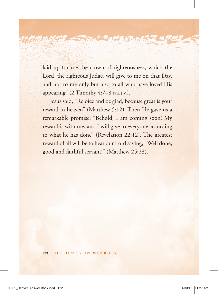laid up for me the crown of righteousness, which the Lord, the righteous Judge, will give to me on that Day, and not to me only but also to all who have loved His appearing"  $(2$  Timothy 4:7–8  $N K[V]$ .

Jesus said, "Rejoice and be glad, because great is your reward in heaven" (Matthew 5:12). Then He gave us a remarkable promise: "Behold, I am coming soon! My reward is with me, and I will give to everyone according to what he has done" (Revelation 22:12). The greatest reward of all will be to hear our Lord saying, "Well done, good and faithful servant!" (Matthew 25:23).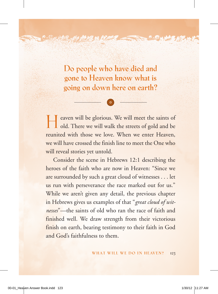**Do people who have died and gone to Heaven know what is going on down here on earth?**

**PACAMEAR** 

Heaven will be glorious. We will meet the saints of old. There we will walk the streets of gold and be reunited with those we love. When we enter Heaven, we will have crossed the finish line to meet the One who will reveal stories yet untold.

Consider the scene in Hebrews 12:1 describing the heroes of the faith who are now in Heaven: "Since we are surrounded by such a great cloud of witnesses . . . let us run with perseverance the race marked out for us." While we aren't given any detail, the previous chapter in Hebrews gives us examples of that "*great cloud of witnesses*"—the saints of old who ran the race of faith and finished well. We draw strength from their victorious finish on earth, bearing testimony to their faith in God and God's faithfulness to them.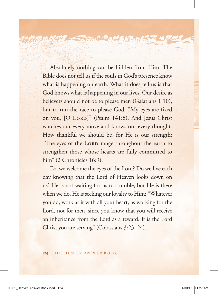Absolutely nothing can be hidden from Him. The Bible does not tell us if the souls in God's presence know what is happening on earth. What it does tell us is that God knows what is happening in our lives. Our desire as believers should not be to please men (Galatians 1:10), but to run the race to please God: "My eyes are fixed on you, [O LORD]" (Psalm 141:8). And Jesus Christ watches our every move and knows our every thought. How thankful we should be, for He is our strength: "The eyes of the LORD range throughout the earth to strengthen those whose hearts are fully committed to him" (2 Chronicles 16:9).

**COMPASSE** 

Do we welcome the eyes of the Lord? Do we live each day knowing that the Lord of Heaven looks down on us? He is not waiting for us to stumble, but He is there when we do. He is seeking our loyalty to Him: "Whatever you do, work at it with all your heart, as working for the Lord, not for men, since you know that you will receive an inheritance from the Lord as a reward. It is the Lord Christ you are serving" (Colossians 3:23–24).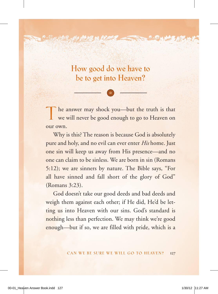**How good do we have to be to get into Heaven?**

ค∧©<u>พ</u>

The answer may shock you—but the truth is that we will never be good enough to go to Heaven on our own.

Why is this? The reason is because God is absolutely pure and holy, and no evil can ever enter *His* home. Just one sin will keep us away from His presence—and no one can claim to be sinless. We are born in sin (Romans 5:12); we are sinners by nature. The Bible says, "For all have sinned and fall short of the glory of God" (Romans 3:23).

God doesn't take our good deeds and bad deeds and weigh them against each other; if He did, He'd be letting us into Heaven with our sins. God's standard is nothing less than perfection. We may think we're good enough—but if so, we are filled with pride, which is a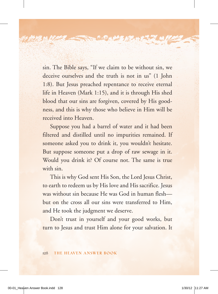sin. The Bible says, "If we claim to be without sin, we deceive ourselves and the truth is not in us" (1 John 1:8). But Jesus preached repentance to receive eternal life in Heaven (Mark 1:15), and it is through His shed blood that our sins are forgiven, covered by His goodness, and this is why those who believe in Him will be received into Heaven.

⋗⋌⋑<u>⋈⋊⋡⋬⋐</u>

Suppose you had a barrel of water and it had been filtered and distilled until no impurities remained. If someone asked you to drink it, you wouldn't hesitate. But suppose someone put a drop of raw sewage in it. Would you drink it? Of course not. The same is true with sin.

This is why God sent His Son, the Lord Jesus Christ, to earth to redeem us by His love and His sacrifice. Jesus was without sin because He was God in human flesh but on the cross all our sins were transferred to Him, and He took the judgment we deserve.

Don't trust in yourself and your good works, but turn to Jesus and trust Him alone for your salvation. It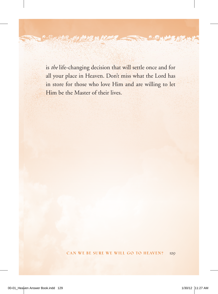is *the* life-changing decision that will settle once and for all your place in Heaven. Don't miss what the Lord has in store for those who love Him and are willing to let Him be the Master of their lives.

"∧Øm

**AND AND A**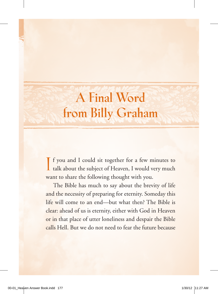## **A Final Word from Billy Graham**

If you and I could sit together for a few minutes to talk about the subject of Heaven, I would very much f you and I could sit together for a few minutes to want to share the following thought with you.

The Bible has much to say about the brevity of life and the necessity of preparing for eternity. Someday this life will come to an end—but what then? The Bible is clear: ahead of us is eternity, either with God in Heaven or in that place of utter loneliness and despair the Bible calls Hell. But we do not need to fear the future because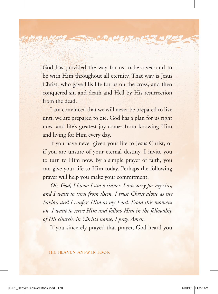God has provided the way for us to be saved and to be with Him throughout all eternity. That way is Jesus Christ, who gave His life for us on the cross, and then conquered sin and death and Hell by His resurrection from the dead.

 $\sim$   $\odot$   $_{\rm M}$ 

I am convinced that we will never be prepared to live until we are prepared to die. God has a plan for us right now, and life's greatest joy comes from knowing Him and living for Him every day.

If you have never given your life to Jesus Christ, or if you are unsure of your eternal destiny, I invite you to turn to Him now. By a simple prayer of faith, you can give your life to Him today. Perhaps the following prayer will help you make your commitment:

*Oh, God, I know I am a sinner. I am sorry for my sins, and I want to turn from them. I trust Christ alone as my Savior, and I confess Him as my Lord. From this moment on, I want to serve Him and follow Him in the fellowship of His church. In Christ's name, I pray. Amen*.

If you sincerely prayed that prayer, God heard you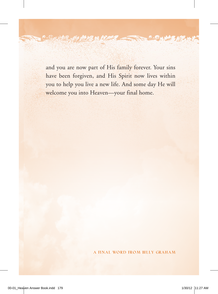and you are now part of His family forever. Your sins have been forgiven, and His Spirit now lives within you to help you live a new life. And some day He will welcome you into Heaven—your final home.

 $\wedge\bm{\Theta}_K$